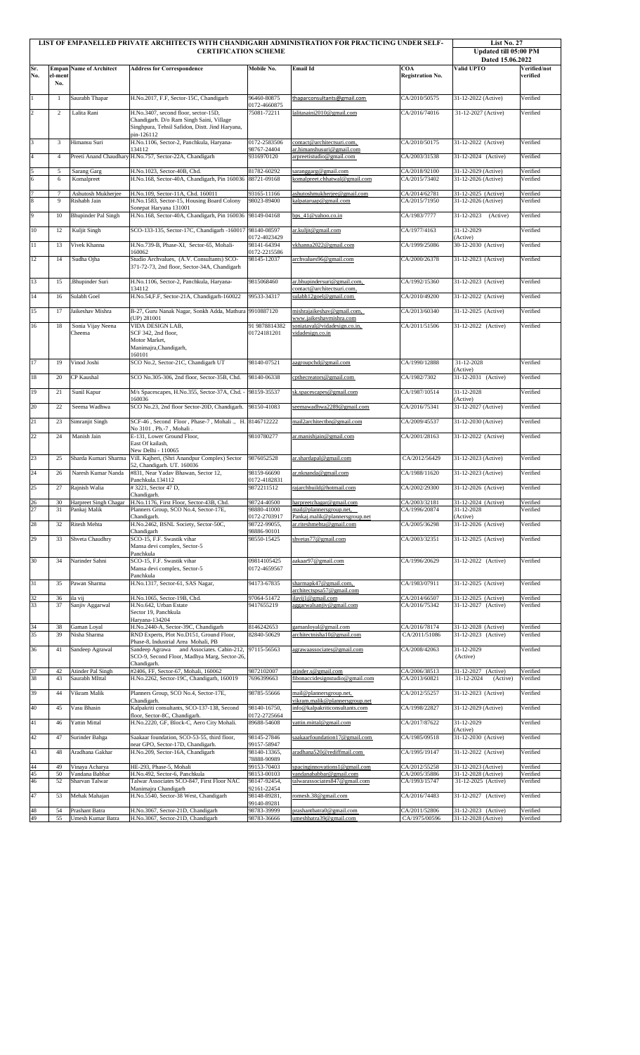|                 |                |                                       | LIST OF EMPANELLED PRIVATE ARCHITECTS WITH CHANDIGARH ADMINISTRATION FOR PRACTICING UNDER SELF-<br><b>CERTIFICATION SCHEME</b>   |                              |                                                                  |                                | List No. 27<br>Updated till 05:00 PM<br>Dated 15.06.2022 |                          |
|-----------------|----------------|---------------------------------------|----------------------------------------------------------------------------------------------------------------------------------|------------------------------|------------------------------------------------------------------|--------------------------------|----------------------------------------------------------|--------------------------|
| Sr.<br>No.      | el-ment<br>No. | <b>Empan Name of Architect</b>        | <b>Address for Correspondence</b>                                                                                                | Mobile No.                   | Email Id                                                         | COA<br><b>Registration No.</b> | Valid UPTO                                               | Verified/not<br>verified |
| $\,1$           | $\mathbf{1}$   | Saurabh Thapar                        | H.No.2017, F.F, Sector-15C, Chandigarh                                                                                           | 96460-80875                  | thaparconsultants@gmail.com                                      | CA/2010/50575                  | 31-12-2022 (Active)                                      | Verified                 |
| $\overline{2}$  | 2              | Lalita Rani                           | H.No.3407, second floor, sector-15D,                                                                                             | 0172-4660875<br>75081-72211  | lalitasaini2010@gmail.com                                        | CA/2016/74016                  | 31-12-2027 (Active)                                      | Verified                 |
|                 |                |                                       | Chandigarh. D/o Ram Singh Saini, Village<br>Singhpura, Tehsil Safidon, Distt. Jind Haryana,<br>pin-126112                        |                              |                                                                  |                                |                                                          |                          |
| 3               | 3              | Himansu Suri                          | H.No.1106, Sector-2, Panchkula, Haryana-<br>134112                                                                               | 0172-2583506<br>98767-24404  | contact@architectsuri.com,<br>ar.himanshusuri@gmail.com          | CA/2010/50175                  | 31-12-2022 (Active)                                      | Verified                 |
| $\overline{4}$  | $\overline{4}$ |                                       | Preeti Anand Chaudhary H.No.757, Sector-22A, Chandigarh                                                                          | 9316970120                   | arpreetistudio@gmail.com                                         | CA/2003/31538                  | 31-12-2024 (Active)                                      | Verified                 |
| $rac{5}{6}$     | 5<br>6         | Sarang Garg<br>Komalpreet             | H.No.1023, Sector-40B, Chd.<br>H.No.168, Sector-40A, Chandigarh, Pin 160036                                                      | 81782-60292<br>88721-09168   | saranggarg@gmail.com<br>komalpreet.chhatwal@gmail.com            | CA/2018/92100<br>CA/2015/73402 | 31-12-2029 (Active)<br>31-12-2026 (Active)               | Verified<br>Verified     |
|                 |                |                                       |                                                                                                                                  | 93165-11166                  |                                                                  |                                |                                                          |                          |
| $\frac{7}{8}$   | $\tau$<br>9    | Ashutosh Mukherjee<br>Rishabh Jain    | H.No.109, Sector-11A, Chd. 160011<br>H.No.1583, Sector-15, Housing Board Colony<br>Sonepat Haryana 131001                        | 98023-89400                  | ashutoshmukherjee@gmail.com<br>kalpataruap@gmail.com             | CA/2014/62781<br>CA/2015/71950 | 31-12-2025 (Active)<br>31-12-2026 (Active)               | Verified<br>Verified     |
| 9               | 10             | <b>Bhupinder Pal Singh</b>            | H.No.168, Sector-40A, Chandigarh, Pin 160036 98149-04168                                                                         |                              | bps_41@yahoo.co.in                                               | CA/1983/7777                   | 31-12-2023<br>(Active)                                   | Verified                 |
| $10\,$          | 12             | Kuljit Singh                          | SCO-133-135, Sector-17C, Chandigarh -160017                                                                                      | 98140-08597<br>0172-4023429  | ar.kuljit@gmail.com                                              | CA/1977/4163                   | 31-12-2029<br>(Active)                                   | Verified                 |
| $1\,1$          | 13             | Vivek Khanna                          | H.No.739-B, Phase-XI, Sector-65, Mohali-<br>160062                                                                               | 98141-64394<br>0172-2215586  | vkhanna2022@gmail.com                                            | CA/1999/25086                  | 30-12-2030 (Active)                                      | Verified                 |
| 12              | 14             | Sudha Ojha                            | Studio Archvalues, (A.V. Consultants) SCO-<br>371-72-73, 2nd floor, Sector-34A, Chandigarh                                       | 98145-12037                  | archvalues96@gmail.com                                           | CA/2000/26378                  | 31-12-2023 (Active)                                      | Verified                 |
| 13              | 15             | Bhupinder Suri.                       | H.No.1106, Sector-2, Panchkula, Haryana-                                                                                         | 9815068460                   | ar.bhupindersuri@gmail.com,                                      | CA/1992/15360                  | 31-12-2023 (Active)                                      | Verified                 |
| 14              | 16             | Sulabh Goel                           | 134112<br>H.No.54, F.F, Sector-21A, Chandigarh-160022                                                                            | 99533-34317                  | contact@architectsuri.com,<br>sulabh12goel@gmail.com             | CA/2010/49200                  | 31-12-2022 (Active)                                      | Verified                 |
| 15              | 17             | Jaikeshav Mishra                      | B-27, Guru Nanak Nagar, Sonkh Adda, Mathura 9910887120                                                                           |                              | mishrajaikeshav@gmail.com,                                       | CA/2013/60340                  | 31-12-2025 (Active)                                      | Verified                 |
|                 |                |                                       | (UP) 281001                                                                                                                      |                              | www.jaikeshavmishra.com                                          |                                |                                                          |                          |
| 16              | 18             | Sonia Vijay Neena<br>Cheema           | VIDA DESIGN LAB,<br>SCF 342, 2nd floor,<br>Motor Market,<br>Manimajra, Chandigarh,<br>160101                                     | 91 9878814382<br>01724181201 | soniatayal@vidadesign.co.in,<br>vidadesign.co.in                 | CA/2011/51506                  | 31-12-2022 (Active)                                      | Verified                 |
| 17              | 19             | Vinod Joshi                           | SCO No.2, Sector-21C, Chandigarh UT                                                                                              | 98140-07521                  | aagroupchd@gmail.com                                             | CA/1990/12888                  | 31-12-2028<br>(Active)                                   | Verified                 |
| $18\,$          | 20             | CP Kaushal                            | SCO No.305-306, 2nd floor, Sector-35B, Chd.                                                                                      | 98140-06338                  | cpthecreators@gmail.com                                          | CA/1982/7302                   | 31-12-2031 (Active)                                      | Verified                 |
| 19              | 21             | Sunil Kapur                           | M/s Spacescapes, H.No.355, Sector-37A, Chd. -                                                                                    | 98159-35537                  | sk.spacescapes@gmail.com                                         | CA/1987/10514                  | 31-12-2028                                               | Verified                 |
| 20              | 22             | Seema Wadhwa                          | 160036<br>SCO No.23, 2nd floor Sector-20D, Chandigarh.                                                                           | 98150-41083                  | seemawadhwa2289@gmail.com                                        | CA/2016/75341                  | (Active)<br>31-12-2027 (Active)                          | Verified                 |
|                 |                |                                       |                                                                                                                                  |                              |                                                                  |                                |                                                          |                          |
| 21              | 23             | Simranjit Singh                       | SCF-46, Second Floor, Phase-7, Mohali., H. 8146712222<br>No 3101, Ph.-7, Mohali.                                                 |                              | mail2architectbn@gmail.com                                       | CA/2009/45537                  | 31-12-2030 (Active)                                      | Verified                 |
| 22              | 24             | Manish Jain                           | E-131, Lower Ground Floor,<br>East Of kailash,<br>New Delhi - 110065                                                             | 9810780277                   | ar.manishjain@gmail.com                                          | CA/2001/28163                  | 31-12-2022 (Active)                                      | Verified                 |
| 23              | 25             | Sharda Kumari Sharma                  | Vill. Kajheri, (Shri Anandpur Complex) Sector<br>52, Chandigarh. UT. 160036                                                      | 9876052528                   | ar.shardapal@gmail.com                                           | CA/2012/56429                  | 31-12-2023 (Active)                                      | Verified                 |
| 24              | 26             | Naresh Kumar Nanda                    | #831, Near Yadav Bhawan, Sector 12,<br>Panchkula.134112                                                                          | 98159-66690<br>0172-4182831  | ar.nknanda@gmail.com                                             | CA/1988/11620                  | 31-12-2023 (Active)                                      | Verified                 |
| 25              | 27             | Rajnish Walia                         | #3221, Sector 47 D,<br>Chandigarh.                                                                                               | 9872211512                   | rajarchbuild@hotmail.com                                         | CA/2002/29300                  | 31-12-2026 (Active)                                      | Verified                 |
| $rac{26}{27}$   | 30<br>31       | Harpreet Singh Chagar<br>Pankaj Malik | H.No.1176, First Floor, Sector-43B, Chd.<br>Planners Group, SCO No.4, Sector-17E,                                                | 98724-40500<br>98880-41000   | harpreetchagar@gmail.com<br>mail@plannersgroup.net,              | CA/2003/32181<br>CA/1996/20874 | 31-12-2024 (Active)<br>31-12-2028                        | Verified<br>Verified     |
| 28              | 32             | Ritesh Mehta                          | Chandigarh.<br>H.No.2462, BSNL Society, Sector-50C,                                                                              | 0172-2703917<br>98722-99055. | Pankaj.malik@plannersgroup.net<br>ar.riteshmehta@gmail.com       | CA/2005/36298                  | (Active)<br>31-12-2026 (Active)                          | Verified                 |
|                 |                |                                       | Chandigarh                                                                                                                       | 98886-90101                  |                                                                  |                                |                                                          |                          |
| 29              | 33             | Shveta Chaudhry                       | SCO-15, F.F. Swastik vihar<br>Mansa devi complex, Sector-5<br>Panchkula                                                          | 98550-15425                  | shyetas77@gmail.com                                              | CA/2003/32351                  | 31-12-2025 (Active)                                      | Verified                 |
| 30              | 34             | Narinder Sahni                        | SCO-15, F.F. Swastik vihar<br>Mansa devi complex, Sector-5<br>Panchkula                                                          | 09814105425<br>0172-4659567  | aakaar97@gmail.com                                               | CA/1996/20629                  | 31-12-2022 (Active)                                      | Verified                 |
| 31              | 35             | Pawan Sharma                          | H.No.1317, Sector-61, SAS Nagar,                                                                                                 | 94173-67835                  | sharmapk47@gmail.com,                                            | CA/1983/07911                  | 31-12-2025 (Active)                                      | Verified                 |
| $\frac{32}{33}$ | 36             | ila vij                               | H.No.1065, Sector-19B, Chd.                                                                                                      | 97064-51472                  | architectspsa57@gmail.com<br>ilavij1@gmail.com                   | CA/2014/66507                  | 31-12-2025 (Active)                                      | Verified                 |
|                 | 37             | Sanjiv Aggarwal                       | H.No.642, Urban Estate<br>Sector 19, Panchkula<br>Haryana-134204                                                                 | 9417655219                   | aggarwalsanjiv@gmail.com                                         | CA/2016/75342                  | 31-12-2027 (Active)                                      | Verified                 |
| $\frac{34}{35}$ | 38<br>39       | Gaman Loyal<br>Nisha Sharma           | H.No.2440-A, Sector-39C, Chandigarh<br>RND Experts, Plot No.D151, Ground Floor,                                                  | 8146242653<br>82840-50629    | gamanloyal@gmail.com<br>architectnisha10@gmail.com               | CA/2016/78174<br>CA/2011/51086 | 31-12-2028 (Active)<br>31-12-2023 (Active)               | Verified<br>Verified     |
| 36              | 41             | Sandeep Agrawal                       | Phase-8, Industrial Area Mohali, PB<br>Sandeep Agrawa and Associates. Cabin-212,<br>SCO-9, Second Floor, Madhya Marg, Sector-26, | 97115-56563                  | agrawaassociates@gmail.com                                       | CA/2008/42063                  | 31-12-2029<br>(Active)                                   | Verified                 |
| 37<br>38        | 42<br>43       | Atinder Pal Singh<br>Saurabh MIttal   | Chandigarh.<br>#2406, FF, Sector-67, Mohali, 160062<br>H.No.2262, Sector-19C, Chandigarh, 160019                                 | 9872102007<br>7696399663     | atinder.s@gmail.com<br>fibonaccidesignstudio@gmail.com           | CA/2006/38513<br>CA/2013/60821 | 31-12-2027 (Active)<br>31-12-2024<br>(Active)            | Verified<br>Verified     |
| 39              | 44             | Vikram Malik                          | Planners Group, SCO No.4, Sector-17E,                                                                                            | 98785-55666                  | mail@plannersgroup.net,                                          | CA/2012/55257                  | 31-12-2023 (Active)                                      | Verified                 |
| 40              | 45             | Vasu Bhasin                           | Chandigarh.<br>Kalpakriti consultants, SCO-137-138, Second<br>floor, Sector-8C, Chandigarh.                                      | 98140-16750,<br>0172-2725664 | vikram.malik@plannersgroup.net<br>info@kalpakriticonsultants.com | CA/1998/22827                  | 31-12-2029 (Active)                                      | Verified                 |
| 41              | 46             | Yattin Mittal                         | H.No.2220, GF, Block-C, Aero City Mohali.                                                                                        | 89688-54608                  | yattin.mittal@gmail.com                                          | CA/2017/87622                  | 31-12-2029                                               | Verified                 |
| 42              | 47             | Surinder Bahga                        | Saakaar foundation, SCO-53-55, third floor,                                                                                      | 98145-27846                  | saakaarfoundation17@gmail.com                                    | CA/1985/09518                  | (Active)<br>31-12-2030 (Active)                          | Verified                 |
| 43              | 48             | Aradhana Gakhar                       | near GPO, Sector-17D, Chandigarh.<br>H.No.209, Sector-16A, Chandigarh                                                            | 99157-58947<br>98140-13365,  | aradhana520@rediffmail.com                                       | CA/1995/19147                  | 31-12-2022 (Active)                                      | Verified                 |
| 44              | 49             | Vinaya Acharya                        | HE-293, Phase-5, Mohali                                                                                                          | 78888-90989<br>99153-70403   | spacinginnovations 1@gmail.com                                   | CA/2012/55258                  | 31-12-2023 (Active)                                      | Verified                 |
| $\frac{45}{46}$ | 50<br>52       | Vandana Babbar<br>Sharvan Talwar      | H.No.492, Sector-6, Panchkula<br>Talwar Associates SCO-847, First Floor NAC                                                      | 98153-00103<br>98147-92454,  | vandanababbar@gmail.com<br>talwarassociates847@gmail.com         | CA/2005/35886<br>CA/1993/15747 | 31-12-2028 (Active)<br>31-12-2025 (Active)               | Verified<br>Verified     |
| 47              | 53             | Mehak Mahajan                         | Manimajra Chandigarh<br>H.No.5540, Sector-38 West, Chandigarh                                                                    | 92161-22454<br>98148-89281,  | romesh.38@gmail.com                                              | CA/2016/74483                  | 31-12-2027 (Active)                                      | Verified                 |
|                 | 54             | Prashant Batra                        | H.No.3067, Sector-21D, Chandigarh                                                                                                | 99140-89281<br>98783-39999   | prashantbatra0@gmail.com                                         | CA/2011/52806                  | 31-12-2023 (Active)                                      | Verified                 |
| 48<br>49        | 55             | Umesh Kumar Batra                     | H.No.3067, Sector-21D, Chandigarh                                                                                                | 98783-36666                  | umeshbatra39@gmail.com                                           | CA/1975/00596                  | 31-12-2028 (Active)                                      | Verified                 |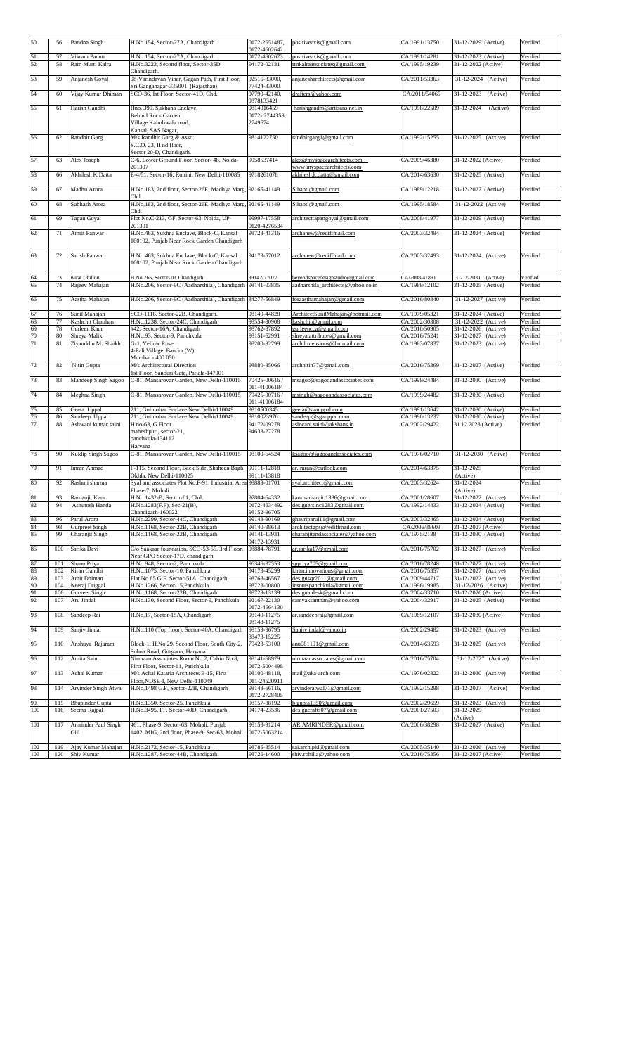| 50       | 56         | <b>Bandna Singh</b>               | H.No.154, Sector-27A, Chandigarh                                                             | 0172-2651487,<br>0172-4602642 | positiveaxis@gmail.com                                                  | CA/1991/13750                  | 31-12-2029 (Active)                        | Verified             |
|----------|------------|-----------------------------------|----------------------------------------------------------------------------------------------|-------------------------------|-------------------------------------------------------------------------|--------------------------------|--------------------------------------------|----------------------|
| 51       | 57         | Vikram Pannu                      | H.No.154, Sector-27A, Chandigarh                                                             | 0172-4602673                  | positiveaxis@gmail.com                                                  | CA/1991/14281                  | 31-12-2023 (Active)                        | Verified             |
| 52       | 58         | Ram Murti Kalra                   | H.No.3223, Second floor, Sector-35D,                                                         | 94172-02131                   | rmkalraassociates@gmail.com                                             | CA/1995/19239                  | 31-12-2022 (Active)                        | Verified             |
| 53       | 59         | Anjanesh Goyal                    | Chandigarh.<br>98-Varindavan Vihar, Gagan Path, First Floor,                                 | 92515-33000,                  | anjanesharchitects@gmail.com                                            | CA/2011/53363                  | 31-12-2024 (Active)                        | Verified             |
|          |            |                                   | Sri Ganganagar-335001 (Rajasthan)                                                            | 77424-33000                   |                                                                         |                                |                                            |                      |
| 54       | 60         | Vijay Kumar Dhiman                | SCO-36, Ist Floor, Sector-41D, Chd.                                                          | 97790-42140,                  | drafters@yahoo.com                                                      | CA/2011/54065                  | 31-12-2023<br>(Active)                     | Verified             |
| 55       | 61         | Harish Gandhi                     | Hno. 399, Sukhana Enclave,                                                                   | 9878133421<br>9814016459      | harishgandhi@artisans.net.in                                            | CA/1998/22509                  | 31-12-2024<br>(Active)                     | Verified             |
|          |            |                                   | Behind Rock Garden,                                                                          | 0172-2744359.                 |                                                                         |                                |                                            |                      |
|          |            |                                   | Village Kaimbwala road,                                                                      | 2749674                       |                                                                         |                                |                                            |                      |
|          |            |                                   | Kansal, SAS Nagar,                                                                           |                               |                                                                         |                                |                                            |                      |
| 56       | 62         | Randhir Garg                      | M/s Randhir Garg & Asso.<br>S.C.O. 23, II nd floor,                                          | 9814122750                    | randhirgarg1@gmail.com                                                  | CA/1992/15255                  | 31-12-2025 (Active)                        | Verified             |
|          |            |                                   | Sector 20-D, Chandigarh.                                                                     |                               |                                                                         |                                |                                            |                      |
| 57       | 63         | Alex Joseph                       | C-6, Lower Ground Floor, Sector- 48, Noida-                                                  | 9958537414                    | alex@myspacearchitects.com,                                             | CA/2009/46380                  | 31-12-2022 (Active)                        | Verified             |
|          |            |                                   | 201307                                                                                       |                               | www.myspacearchitects.com                                               |                                |                                            |                      |
| 58       | 66         | Akhilesh K Datta                  | E-4/51, Sector-16, Rohini, New Delhi-110085                                                  | 9718261078                    | akhilesh.k.datta@gmail.com                                              | CA/2014/63630                  | 31-12-2025 (Active)                        | Verified             |
| 59       | 67         | Madhu Arora                       | H.No.183, 2nd floor, Sector-26E, Madhya Marg, 92165-41149                                    |                               | Sthapti@gmail.com                                                       | CA/1989/12218                  | 31-12-2022 (Active)                        | Verified             |
|          |            |                                   | Chd.                                                                                         |                               |                                                                         |                                |                                            |                      |
| 60       | 68         | Subhash Arora                     | H.No.183, 2nd floor, Sector-26E, Madhya Marg, 92165-41149<br>Chd.                            |                               | Sthapti@gmail.com                                                       | CA/1995/18584                  | 31-12-2022 (Active)                        | Verified             |
| 61       | 69         | Tapan Goyal                       | Plot No.C-213, GF, Sector-63, Noida, UP-                                                     | 99997-17558                   | architecttapangoyal@gmail.com                                           | CA/2008/41977                  | 31-12-2029 (Active)                        | Verified             |
|          |            |                                   | 201301                                                                                       | 0120-4276534                  |                                                                         |                                |                                            |                      |
| 62       | 71         | Amrit Panwar                      | H.No.463, Sukhna Enclave, Block-C, Kansal                                                    | 98723-41316                   | archanew@rediffmail.com                                                 | CA/2003/32494                  | 31-12-2024 (Active)                        | Verified             |
|          |            |                                   | 160102, Punjab Near Rock Garden Chandigarh                                                   |                               |                                                                         |                                |                                            |                      |
| 63       | 72         | Satish Panwar                     | H.No.463, Sukhna Enclave, Block-C, Kansal                                                    | 94173-57012                   | archanew@rediffmail.com                                                 | CA/2003/32493                  | 31-12-2024 (Active)                        | Verified             |
|          |            |                                   | 160102, Punjab Near Rock Garden Chandigarh                                                   |                               |                                                                         |                                |                                            |                      |
|          |            |                                   |                                                                                              |                               |                                                                         |                                |                                            |                      |
| 64<br>65 | 73<br>74   | Kirat Dhillon<br>Rajeev Mahajan   | H.No.265, Sector-10, Chandigarh<br>H.No.206, Sector-9C (Aadharshila), Chandigarh 98141-03835 | 99142-77077                   | beyondspacedesignstudio@gmail.com<br>aadharshila_architects@yahoo.co.in | CA/2008/41891<br>CA/1989/12102 | 31-12-2031 (Active)<br>31-12-2025 (Active) | Verified<br>Verified |
|          |            |                                   |                                                                                              |                               |                                                                         |                                |                                            |                      |
| 66       | 75         | Aastha Mahajan                    | H.No.206, Sector-9C (Aadharshila), Chandigarh 84277-56849                                    |                               | foraasthamahajan@gmail.com                                              | CA/2016/80840                  | 31-12-2027 (Active)                        | Verified             |
| 67       | 76         | Sunil Mahajan                     | SCO-1116, Sector-22B, Chandigarh.                                                            | 98140-44828                   | ArchitectSunilMahajan@hotmail.com                                       | CA/1979/05321                  | 31-12-2024 (Active)                        | Verified             |
| 68       | 77         | Kashchit Chauhan                  | H.No.1238, Sector-24C, Chandigarh                                                            | 98554-80908                   | cashchit@gmail.com                                                      | CA/2002/30308                  | 31-12-2022 (Active)                        | Verified             |
| 69       | 78         | Gurleen Kaur                      | #42, Sector-16A, Chandigarh                                                                  | 98762-87892                   | gurleencca@gmail.com                                                    | CA/2010/50905                  | 31-12-2026 (Active)                        | Verified             |
| 70       | 80         | Shreya Malik                      | H.No.93, Sector-9, Panchkula                                                                 | 98151-62991                   | shreya.attributes@gmail.com                                             | CA/2016/75241                  | 31-12-2027 (Active)                        | Verified             |
| 71       | 81         | Ziyauddin M. Shaikh               | G-1, Yellow Rose,                                                                            | 98200-92799                   | archdimensions@hotmail.com                                              | CA/1983/07837                  | 31-12-2023 (Active)                        | Verified             |
|          |            |                                   | 4-Pali Village, Bandra (W),                                                                  |                               |                                                                         |                                |                                            |                      |
| 72       | 82         | Nitin Gupta                       | Mumbai: - 400 050<br>M/s Architectural Direction                                             | 98880-85066                   | archnitin77@gmail.com                                                   | CA/2016/75369                  | 31-12-2027 (Active)                        | Verified             |
|          |            |                                   | 1st Floor, Sanouri Gate, Patiala-147001                                                      |                               |                                                                         |                                |                                            |                      |
| 73       | 83         | Mandeep Singh Sagoo               | C-81, Mansarovar Garden, New Delhi-110015                                                    | 70425-00616 /                 | msagoo@sagooandassociates.com                                           | CA/1999/24484                  | 31-12-2030 (Active)                        | Verified             |
|          |            |                                   |                                                                                              | 011-41006184                  |                                                                         |                                |                                            |                      |
| 74       | 84         | Meghna Singh                      | C-81, Mansarovar Garden, New Delhi-110015                                                    | 70425-00716 /<br>011-41006184 | msingh@sagooandassociates.com                                           | CA/1999/24482                  | 31-12-2030 (Active)                        | Verified             |
| 75       | 85         | Geeta Uppal                       | 211, Gulmohar Enclave New Delhi-110049                                                       | 9810500345                    | geeta@sgauppal.com                                                      | CA/1991/13642                  | 31-12-2030 (Active)                        | Verified             |
| 76       | 86         | Sandeep Uppal                     | 211, Gulmohar Enclave New Delhi-110049                                                       | 9810023976                    | sandeep@sgauppal.com                                                    | CA/1990/13237                  | 31-12-2030 (Active)                        | Verified             |
| 77       | 88         | Ashwani kumar saini               | H.no-63, G.Floor                                                                             | 94172-09278                   | ashwani.saini@akshans.in                                                | CA/2002/29422                  | 31.12.2028 (Active)                        | Verified             |
|          |            |                                   | maheshpur, sector-21,                                                                        | 94633-27278                   |                                                                         |                                |                                            |                      |
|          |            |                                   | panchkula-134112<br>Haryana                                                                  |                               |                                                                         |                                |                                            |                      |
| 78       | 90         | Kuldip Singh Sagoo                | C-81. Mansarovar Garden, New Delhi-110015                                                    | 98100-64524                   | ksagoo@sagooandassociates.com                                           | CA/1976/02710                  | 31-12-2030 (Active)                        | Verified             |
|          |            |                                   |                                                                                              |                               |                                                                         |                                |                                            |                      |
| 79       | 91         | Imran Ahmad                       | F-115, Second Floor, Back Side, Shaheen Bagh,                                                | 99111-12818                   | ar.imran@outlook.com                                                    | CA/2014/63375                  | 31-12-2025                                 | Verified             |
| 80       | 92         |                                   | Okhla, New Delhi-110025                                                                      | 99111-13818                   | syal.architect@gmail.com                                                | CA/2003/32624                  | (Active)<br>31-12-2024                     | Verified             |
|          |            | Rashmi sharma                     | Syal and associates Plot No.F-91, Industrial Area 98889-01701<br>Phase-7, Mohali             |                               |                                                                         |                                | (Active)                                   |                      |
| 81       | 93         | Ramanjit Kaur                     | H.No.1432-B, Sector-61, Chd.                                                                 | 97804-64332                   | kaur.ramanjit.1386@gmail.com                                            | CA/2001/28607                  | 31-12-2022 (Active)                        | Verified             |
| 82       | 94         | Ashutosh Handa                    | H.No.1283(F.F), Sec-21(B),                                                                   | 0172-4634492                  | designersinc1283@gmail.com                                              | CA/1992/14433                  | 31-12-2024 (Active)                        | Verified             |
|          |            |                                   | Chandigarh-160022.                                                                           | 98152-96705                   |                                                                         |                                |                                            |                      |
| 83<br>84 | 96         | Parul Arora                       | H.No.2299, Sector-44C, Chandigarh                                                            | 99143-90169                   | ghavriparul11@gmail.com                                                 | CA/2003/32465                  | 31-12-2024 (Active)                        | Verified             |
| 85       | 98<br>99   | Gurpreet Singh<br>Charanjit Singh | H.No.1168, Sector-22B, Chandigarh<br>H.No.1168, Sector-22B, Chandigarh                       | 98140-98613<br>98141-13931    | architectgps@rediffmail.com<br>charanjitandassociates@yahoo.com         | CA/2006/38603<br>CA/1975/2188  | 31-12-2027 (Active)<br>31-12-2030 (Active) | Verified<br>Verified |
|          |            |                                   |                                                                                              | 94172-13931                   |                                                                         |                                |                                            |                      |
| 86       | 100        | Sarika Devi                       | C/o Saakaar foundation, SCO-53-55, 3rd Floor,                                                | 98884-78791                   | ar.sarika17@gmail.com                                                   | CA/2016/75702                  | 31-12-2027 (Active)                        | Verified             |
|          |            | Shanu Priya                       | Near GPO Sector-17D, chandigarh                                                              |                               |                                                                         |                                |                                            |                      |
| 87<br>88 | 101<br>102 | Kiran Gandhi                      | H.No.948, Sector-2, Panchkula<br>H.No.1075, Sector-10, Panchkula                             | 96346-37553<br>94173-45299    | sppriya705@gmail.com<br>kiran.innovations@gmail.com                     | CA/2016/78248<br>CA/2016/75357 | 31-12-2027 (Active)<br>31-12-2027 (Active) | Verified<br>Verified |
| 89       | 103        | Amit Dhiman                       | Flat No.65 G.F. Sector-51A, Chandigarh                                                       | 98768-46567                   | designsqr2011@gmail.com                                                 | CA/2009/44717                  | 31-12-2022 (Active)                        | Verified             |
| 90       | 104        | Neeraj Duggal                     | H.No.1266, Sector-15, Panchkula                                                              | 98723-00800                   | insoutspanchkula@gmail.com                                              | CA/1996/19985                  | 31-12-2026 (Active)                        | Verified             |
| 91       | 106        | Gurveer Singh                     | H.No.1168, Sector-22B, Chandigarh                                                            | 98729-13139                   | designatdesk@gmail.com                                                  | CA/2004/33710                  | 31-12-2026 (Active)                        | Verified             |
| 92       | 107        | Aru Jindal                        | H.No.130, Second Floor, Sector-9, Panchkula                                                  | 92167-22130                   | samyaksanthan@yahoo.com                                                 | CA/2004/32917                  | 31-12-2025 (Active)                        | Verified             |
| 93       | 108        | Sandeep Rai                       | H.No.17, Sector-15A, Chandigarh                                                              | 0172-4664130<br>98140-11275   | ar.sandeeprai@gmail.com                                                 | CA/1989/12107                  | 31-12-2030 (Active)                        | Verified             |
|          |            |                                   |                                                                                              | 98148-11275                   |                                                                         |                                |                                            |                      |
| 94       | 109        | Sanjiv Jindal                     | H.No.110 (Top floor), Sector-40A, Chandigarh                                                 | 98159-96795                   | Sanjivjindal@yahoo.in                                                   | CA/2002/29482                  | 31-12-2023 (Active)                        | Verified             |
|          |            |                                   |                                                                                              | 88473-15225                   |                                                                         |                                |                                            |                      |
| 95       | 110        | Anshuya Rajaram                   | Block-1, H.No.29, Second Floor, South City-2,<br>Sohna Road, Gurgaon, Haryana                | 70423-53100                   | anu081191@gmail.com                                                     | CA/2014/63593                  | 31-12-2025 (Active)                        | Verified             |
| 96       | 112        | Amita Saini                       | Nirmaan Associates Room No.2, Cabin No.8,                                                    | 98141-68979                   | nirmaanassociates@gmail.com                                             | CA/2016/75704                  | 31-12-2027<br>(Active)                     | Verified             |
|          |            |                                   | First Floor, Sector-11, Panchkula                                                            | 0172-5004498                  |                                                                         |                                |                                            |                      |
| 97       | 113        | Achal Kumar                       | M/s Achal Kataria Architects E-15, First                                                     | 98100-48118,                  | mail@aka-arch.com                                                       | CA/1976/02822                  | 31-12-2030 (Active)                        | Verified             |
| 98       | 114        | Arvinder Singh Atwal              | Floor, NDSE-I, New Delhi-110049<br>H.No.1498 G.F, Sector-22B, Chandigarh                     | 011-24620911<br>98148-66116,  | arvinderatwal71@gmail.com                                               | CA/1992/15298                  | 31-12-2027<br>(Active)                     | Verified             |
|          |            |                                   |                                                                                              | 0172-2728405                  |                                                                         |                                |                                            |                      |
| 99       | 115        | <b>Bhupinder Gupta</b>            | H.No.1350, Sector-25, Panchkula                                                              | 98157-88192                   | b.gupta1350@gmail.com                                                   | CA/2002/29659                  | 31-12-2023<br>(Active)                     | Verified             |
| 100      | 116        | Seema Rajpal                      | H.No.3495, FF, Sector-40D, Chandigarh.                                                       | 94174-23536                   | designcrafts07@gmail.com                                                | CA/2001/27503                  | 31-12-2029                                 | Verified             |
| 101      | 117        | Amrinder Paul Singh               | 461, Phase-9, Sector-63, Mohali, Punjab                                                      | 98153-91214                   | AR.AMRINDER@gmail.com                                                   | CA/2006/38298                  | (Active)<br>31-12-2027 (Active)            | Verified             |
|          |            | Gill                              | 1402, MIG, 2nd floor, Phase-9, Sec-63, Mohali                                                | 0172-5063214                  |                                                                         |                                |                                            |                      |
|          |            |                                   |                                                                                              |                               |                                                                         |                                |                                            |                      |
| 102      | 119        | Ajay Kumar Mahajan                | H.No.2172, Sector-15, Panchkula                                                              | 98786-85514                   | sai.arch.pkl@gmail.com                                                  | CA/2005/35140                  | 31-12-2026 (Active)                        | Verified             |
| 103      | 120        | Shiv Kumar                        | H.No.1287, Sector-44B, Chandigarh.                                                           | 98726-14600                   | shiv.rohilla@yahoo.com                                                  | CA/2016/75356                  | 31-12-2027 (Active)                        | Verified             |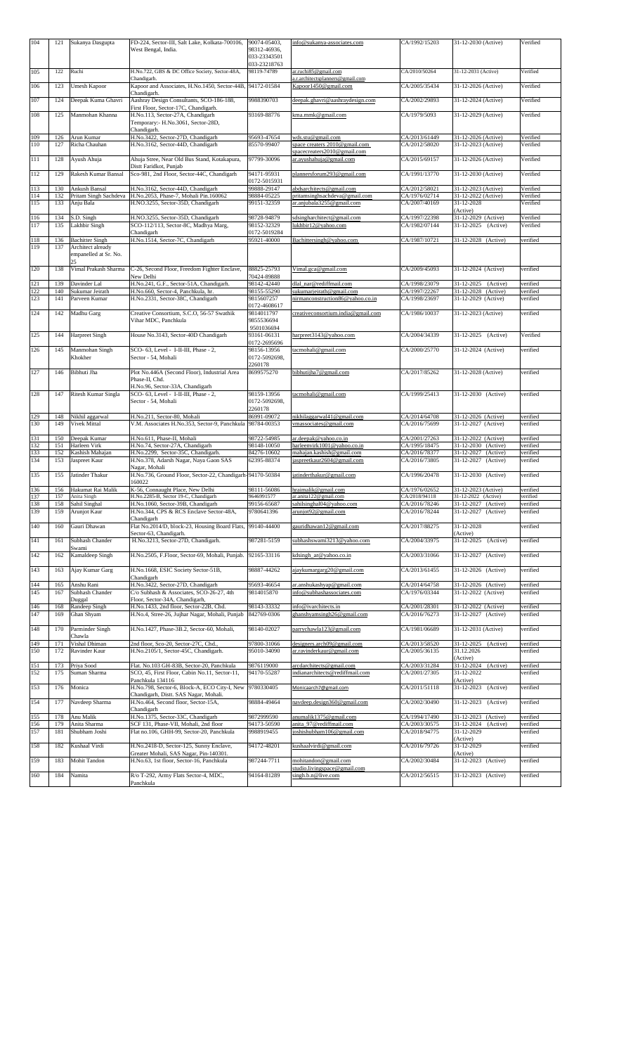| 104<br>105 | 121<br>122 | Sukanya Dasgupta<br>Ruchi                        | FD-224, Sector-III, Salt Lake, Kolkata-700106,<br>West Bengal, India.<br>H.No.722, GBS & DC Office Society, Sector-48A, | 90074-05403,<br>98312-46936.<br>033-23343501<br>033-23218763<br>98119-74789 | info@sukanya-associates.com<br>ar.ruchi85@gmail.com          | CA/1992/15203<br>CA/2010/50264 | 31-12-2030 (Active)<br>31-12-2031 (Active)       | Verified<br>Verified |
|------------|------------|--------------------------------------------------|-------------------------------------------------------------------------------------------------------------------------|-----------------------------------------------------------------------------|--------------------------------------------------------------|--------------------------------|--------------------------------------------------|----------------------|
| 106        | 123        | Umesh Kapoor                                     | Chandigarh.<br>Kapoor and Associates, H.No.1450, Sector-44B,                                                            | 94172-01584                                                                 | a.r.architectsplanners@gmail.com<br>Kapoor1450@gmail.com     | CA/2005/35434                  | 31-12-2026 (Active)                              | Verified             |
| 107        | 124        | Deepak Kuma Ghavri                               | Chandigarh.<br>Aashray Design Consultants, SCO-186-188,                                                                 | 9988390703                                                                  | deepak.ghavri@aashraydesign.com                              | CA/2002/29893                  | 31-12-2024 (Active)                              | Verified             |
|            |            |                                                  | First Floor, Sector-17C, Chandigarh.                                                                                    |                                                                             |                                                              |                                |                                                  |                      |
| 108        | 125        | Manmohan Khanna                                  | H.No.113, Sector-27A, Chandigarh<br>Temporary:- H.No.3061, Sector-28D,<br>Chandigarh.                                   | 93169-88776                                                                 | kma.mmk@gmail.com                                            | CA/1979/5093                   | 31-12-2029 (Active)                              | Verified             |
| 109<br>110 | 126<br>127 | Arun Kumar<br>Richa Chauhan                      | H.No.3422, Sector-27D, Chandigarh<br>H.No.3162, Sector-44D, Chandigarh                                                  | 95693-47654<br>85570-99407                                                  | wds.stu@gmail.com<br>space creaters 2010@gmail.com           | CA/2013/61449<br>CA/2012/58020 | 31-12-2026 (Active)<br>31-12-2023 (Active)       | Verified<br>Verified |
| 111        | 128        | Ayush Ahuja                                      | Ahuja Stree, Near Old Bus Stand, Kotakapura,                                                                            | 97799-30096                                                                 | spacecreaters2010@gmail.com<br>ar.ayushahuja@gmail.com       | CA/2015/69157                  | 31-12-2026 (Active)                              | Verified             |
|            |            |                                                  | Distt Faridkot, Punjab                                                                                                  |                                                                             |                                                              |                                |                                                  |                      |
| 112        | 129        | Rakesh Kumar Bansal                              | Sco-981, 2nd Floor, Sector-44C, Chandigarh                                                                              | 94171-95931<br>0172-5015931                                                 | plannersforum293@gmail.com                                   | CA/1991/13770                  | 31-12-2030 (Active)                              | Verified             |
| 113<br>114 | 130<br>132 | Ankush Bansal<br>Pritam Singh Sachdeva           | H.No.3162, Sector-44D, Chandigarh<br>H.No.2053, Phase-7, Mohali Pin.160062                                              | 99888-29147<br>98884-05225                                                  | abdsarchitects@gmail.com<br>pritamsinghsachdeva@gmail.com    | CA/2012/58021<br>CA/1976/02714 | 31-12-2023 (Active)<br>31-12-2022 (Active)       | Verified<br>Verified |
| 115        | 133        | Anju Bala                                        | H.NO.3255, Sector-35D, Chandigarh                                                                                       | 99151-32359                                                                 | ar.anjubala3255@gmail.com                                    | CA/2007/40169                  | 31-12-2028                                       | Verified             |
| 116        | 134        | S.D. Singh                                       | H.NO.3255, Sector-35D, Chandigarh                                                                                       | 98728-94879                                                                 | sdsingharchitect@gmail.com                                   | CA/1997/22398                  | (Active)<br>31-12-2029 (Active)                  | Verified             |
| 117        | 135        | Lakhbir Singh                                    | SCO-112/113, Sector-8C, Madhya Marg,<br>Chandigarh                                                                      | 98152-32329<br>0172-5019284                                                 | lukhbir12@yahoo.com                                          | CA/1982/07144                  | 31-12-2025 (Active)                              | Verified             |
| 118        | 136        | <b>Bachitter Singh</b>                           | H.No.1514, Sector-7C, Chandigarh                                                                                        | 95921-40000                                                                 | Bachittersingh@yahoo.com                                     | CA/1987/10721                  | 31-12-2028 (Active)                              | verified             |
| 119        | 137        | Architect already<br>empanelled at Sr. No.<br>25 |                                                                                                                         |                                                                             |                                                              |                                |                                                  |                      |
| 120        | 138        | Vimal Prakash Sharma                             | C-26, Second Floor, Freedom Fighter Enclave,<br>New Delhi                                                               | 88825-25793<br>70424-89888                                                  | Vimal.gca@gmail.com                                          | CA/2009/45093                  | 31-12-2024 (Active)                              | verified             |
| 121        | 139        | Davinder Lal                                     | H.No.241, G.F., Sector-51A, Chandigarh.                                                                                 | 98142-42440                                                                 | dlal_nar@rediffmail.com                                      | CA/1998/23079                  | 31-12-2025 (Active)                              | verified             |
| 122<br>123 | 140<br>141 | Sukumar Jeirath<br>Parveen Kumar                 | H.No.660, Sector-4, Panchkula, hr.<br>H.No.2331, Sector-38C, Chandigarh                                                 | 98155-55290<br>9815607257                                                   | sukumarjeirath@gmail.com<br>nirmanconstruction86@yahoo.co.in | CA/1997/22267<br>CA/1998/23697 | 31-12-2028 (Active)<br>31-12-2029 (Active)       | verified<br>verified |
| 124        | 142        | Madhu Garg                                       | Creative Consortium, S.C.O, 56-57 Swathik                                                                               | 0172-4608617<br>9814011797                                                  | creativeconsortium.india@gmail.com                           | CA/1986/10037                  | 31-12-2023 (Active)                              | verified             |
|            |            |                                                  | Vihar MDC, Panchkula                                                                                                    | 9855536694<br>9501036694                                                    |                                                              |                                |                                                  |                      |
| 125        | 144        | Harpreet Singh                                   | House No.3143, Sector-40D Chandigarh                                                                                    | 93161-06131<br>0172-2695696                                                 | harpreet3143@yahoo.com                                       | CA/2004/34339                  | 31-12-2025 (Active)                              | Verified             |
| 126        | 145        | Manmohan Singh<br>Khokher                        | SCO- 63, Level - I-II-III, Phase - 2,<br>Sector - 54, Mohali                                                            | 98156-13956<br>0172-5092698,<br>2260178                                     | tacmohali@gmail.com                                          | CA/2000/25770                  | 31-12-2024 (Active)                              | verified             |
| 127        | 146        | Bibhuti Jha                                      | Plot No.446A (Second Floor), Industrial Area<br>Phase-II, Chd.<br>H.No.96, Sector-33A, Chandigarh                       | 8699575270                                                                  | bibhutijha7@gmail.com                                        | CA/2017/85262                  | 31-12-2028 (Active)                              | verified             |
| 128        | 147        | Ritesh Kumar Singla                              | SCO- 63, Level - I-II-III, Phase - 2,<br>Sector - 54, Mohali                                                            | 98159-13956<br>0172-5092698,<br>2260178                                     | tacmohali@gmail.com                                          | CA/1999/25413                  | 31-12-2030 (Active)                              | verified             |
| 129        | 148        | Nikhil aggarwal                                  | H.No.211, Sector-80, Mohali                                                                                             | 86991-09072                                                                 | nikhilaggarwal41@gmail.com                                   | CA/2014/64708                  | 31-12-2026 (Active)                              | verified             |
| 130        | 149        | Vivek Mittal                                     | V.M. Associates H.No.353, Sector-9, Panchkula                                                                           | 98784-00353                                                                 | vmassociates@gmail.com                                       | CA/2016/75699                  | 31-12-2027 (Active)                              | verified             |
| 131<br>132 | 150<br>151 | Deepak Kumar<br>Harleen Virk                     | H.No.611, Phase-II, Mohali<br>H.No.74, Sector-27A, Chandigarh                                                           | 98722-54985<br>98148-10050                                                  | ar.deepak@yahoo.co.in<br>harleenvirk1001@vahoo.co.in         | CA/2001/27263<br>CA/1995/18475 | 31-12-2022 (Active)<br>31-12-2030 (Active)       | verified<br>verified |
| 133        | 152        | Kashish Mahajan                                  | H.No.2299, Sector-35C, Chandigarh.                                                                                      | 84276-10602                                                                 | mahajan.kashish@gmail.com                                    | CA/2016/78377                  | 31-12-2027 (Active)                              | verified             |
| 134<br>135 | 153<br>155 | Jaspreet Kaur<br>Jatinder Thakur                 | H.No.378, Adarsh Nagar, Naya Gaon SAS<br>Nagar, Mohali<br>H.No.736, Ground Floor, Sector-22, Chandigarh-94170-50384     | 62395-88374                                                                 | jaspreetkaur2604@gmail.com<br>jatinderthakur@gmail.com       | CA/2016/73805<br>CA/1996/20478 | 31-12-2027 (Active)<br>31-12-2030 (Active)       | verified<br>verified |
| 136        | 156        | Hakumat Rai Malik                                | 160022<br>K-56, Connaught Place, New Delhi                                                                              | 98111-56086                                                                 | hraimalik@gmail.com                                          | CA/1976/02652                  | 31-12-2023 (Active)                              | verified             |
| 137        | 157        | Anita Singh                                      | H.No.2285-B, Sector 19-C, Chandigarh                                                                                    | 9646991577                                                                  | ar.anita122@gmail.com                                        | CA/2018/94118                  | 31-12-2022 (Active)                              | verified             |
| 138<br>139 | 158<br>159 | Sahil Singhal<br>Arunjot Kaur                    | H.No.1060, Sector-39B, Chandigarh<br>H.No.344, CPS & RCS Enclave Sector-48A,                                            | 99156-65687<br>9780641396                                                   | sahilsinghal04@yahoo.com<br>arunjot92@gmail.com              | CA/2016/78246<br>CA/2016/78244 | 31-12-2027 (Active)<br>31-12-2027 (Active)       | verified<br>verified |
| 140        | 160        | Gauri Dhawan                                     | Chandigarh<br>Flat No.2014/D, block-23, Housing Board Flats,                                                            | 99140-44400                                                                 | gauridhawan12@gmail.com                                      | CA/2017/88275                  | 31-12-2028                                       | verified             |
| 141        | 161        | Subhash Chander                                  | Sector-63, Chandigarh.<br>H.No.3213, Sector-27D, Chandigarh.                                                            | 987281-5159                                                                 | subhashswami3213@yahoo.com                                   | CA/2004/33975                  | (Active)<br>31-12-2025<br>(Active)               | verified             |
| 142        | 162        | Swami<br>Kamaldeep Singh                         | H.No.2505, F.Floor, Sector-69, Mohali, Punjab.                                                                          | 92165-33116                                                                 | kdsingh ar@yahoo.co.in                                       | CA/2003/31066                  | 31-12-2027 (Active)                              | verified             |
| 143        | 163        | Ajay Kumar Garg                                  | H.No.1668, ESIC Society Sector-51B,                                                                                     | 98887-44262                                                                 | ajaykumargarg20@gmail.com                                    | CA/2013/61455                  | 31-12-2026 (Active)                              | verified             |
|            |            |                                                  | Chandigarh                                                                                                              |                                                                             |                                                              |                                |                                                  |                      |
| 144<br>145 | 165<br>167 | Anshu Rani<br>Subhash Chander                    | H.No.3422, Sector-27D, Chandigarh<br>C/o Subhash & Associates, SCO-26-27, 4th                                           | 95693-46654<br>9814015870                                                   | ar.anshukashyap@gmail.com<br>info@subhashassociates.com      | CA/2014/64758<br>CA/1976/03344 | 31-12-2026 (Active)<br>31-12-2022 (Active)       | verified<br>verified |
|            |            | Duggal                                           | Floor, Sector-34A, Chandigarh,                                                                                          |                                                                             |                                                              |                                |                                                  |                      |
| 146<br>147 | 168<br>169 | Randeep Singh<br>Ghan Shyam                      | H.No.1433, 2nd floor, Sector-22B, Chd.<br>H.No.4, Stree-26, Jujhar Nagar, Mohali, Punjab                                | 98143-33332<br>842769-0306                                                  | info@ivarchitects.in<br>ghanshyamsingh26@gmail.com           | CA/2001/28301<br>CA/2016/76273 | 31-12-2022 (Active)<br>31-12-2027 (Active)       | verified<br>verified |
| 148        | 170        | Parminder Singh<br>Chawla                        | H.No.1427, Phase-3B.2, Sector-60, Mohali,                                                                               | 98140-02027                                                                 | parrychawla123@gmail.com                                     | CA/1981/06689                  | 31-12-2031 (Active)                              | verified             |
| 149<br>150 | 171<br>172 | Vishal Dhiman<br>Ravinder Kaur                   | 2nd floor, Sco-20, Sector-27C, Chd.,<br>H.No.2105/1, Sector-45C, Chandigarh.                                            | 97800-31066<br>95010-34090                                                  | designers.arch09@gmail.com<br>ar.ravinderkaur@gmail.com      | CA/2013/58520<br>CA/2005/36135 | 31-12-2025<br>(Active)<br>31.12.2026<br>(Active) | verified<br>verified |
| 151        | 173        | Priya Sood                                       | Flat. No.103 GH-83B, Sector-20, Panchkula                                                                               | 9876119000                                                                  | arcdarchitects@gmail.com                                     | CA/2003/31284                  | 31-12-2024<br>(Active)                           | verified             |
| 152        | 175        | Suman Sharma                                     | SCO, 45, First Floor, Cabin No.11, Sector-11,<br>Panchkula 134116                                                       | 94170-55287                                                                 | indianarchitects@rediffmail.com                              | CA/2001/27305                  | 31-12-2022<br>(Active)                           | verified             |
| 153        | 176        | Monica                                           | H.No.798, Sector-6, Block-A, ECO City-I, New<br>Chandigarh, Distt. SAS Nagar, Mohali.                                   | 9780330405                                                                  | Monicaarch7@gmail.com                                        | CA/2011/51118                  | 31-12-2023<br>(Active)                           | verified             |
| 154        | 177        | Navdeep Sharma                                   | H.No.464, Second floor, Sector-15A,<br>Chandigarh                                                                       | 98884-49464                                                                 | navdeep.design360@gmail.com                                  | CA/2002/30490                  | 31-12-2023<br>(Active)                           | verified             |
| 155        | 178        | Anu Malik                                        | H.No.1375, Sector-33C, Chandigarh                                                                                       | 9872999590                                                                  | anumalik1375@gmail.com                                       | CA/1994/17490                  | 31-12-2023<br>(Active)<br>31-12-2024             | verified             |
| 156<br>157 | 179<br>181 | Anita Sharma<br>Shubham Joshi                    | SCF 131, Phase-VII, Mohali, 2nd floor<br>Flat no.106, GHH-99, Sector-20, Panchkula                                      | 94173-50590<br>9988919455                                                   | anita 97@rediffmail.com<br>joshishubham106@gmail.com         | CA/2003/30575<br>CA/2018/94775 | (Active)<br>31-12-2029                           | verified<br>verified |
| 158        | 182        | Kushaal Virdi                                    | H.No.2418-D, Sector-125, Sunny Enclave,                                                                                 | 94172-48201                                                                 | kushaalvirdi@gmail.com                                       | CA/2016/79726                  | (Active)<br>31-12-2029                           | verified             |
| 159        | 183        | Mohit Tandon                                     | Greater Mohali, SAS Nagar, Pin-140301.<br>H.No.63, 1st floor, Sector-16, Panchkula                                      | 987244-7711                                                                 | mohitandon@gmail.com                                         | CA/2002/30484                  | (Active)<br>31-12-2023 (Active)                  | verified             |
|            |            |                                                  |                                                                                                                         |                                                                             | studio.livingspace@gmail.com                                 |                                |                                                  |                      |
| 160        | 184        | Namita                                           | R/o T-292, Army Flats Sector-4, MDC,<br>Panchkula                                                                       | 94164-81289                                                                 | singh.b.n@live.com                                           | CA/2012/56515                  | 31-12-2023 (Active)                              | verified             |
|            |            |                                                  |                                                                                                                         |                                                                             |                                                              |                                |                                                  |                      |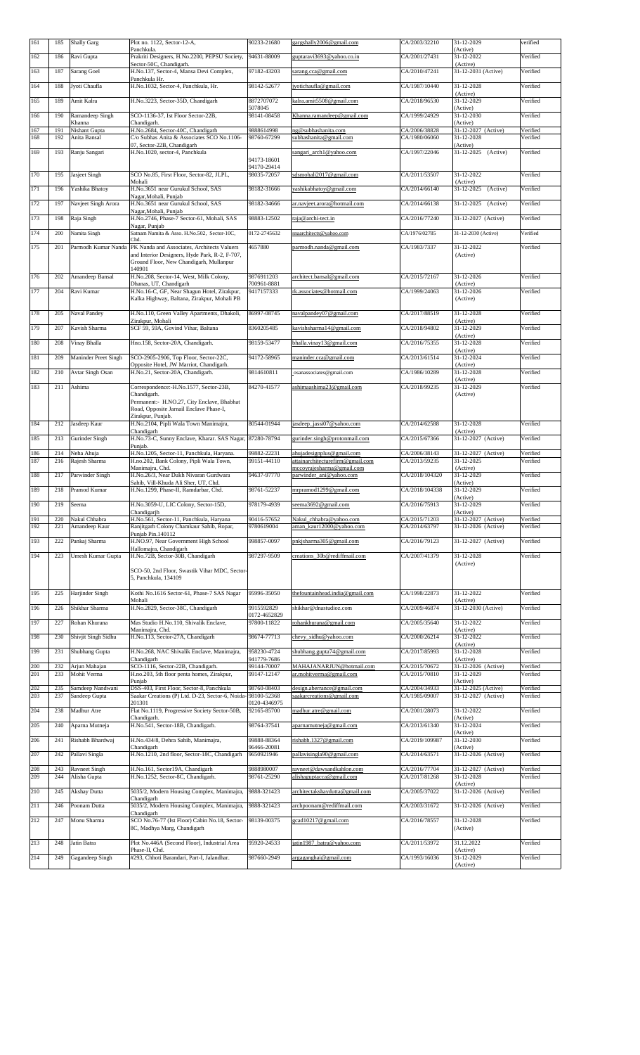| 161        | 185        | <b>Shally Garg</b>                | Plot no. 1122, Sector-12-A,<br>Panchkula.                                                                 | 90233-21680                 | gargshally2006@gmail.com                                | CA/2003/32210                  | 31-12-2029<br>(Active)                     | verified             |
|------------|------------|-----------------------------------|-----------------------------------------------------------------------------------------------------------|-----------------------------|---------------------------------------------------------|--------------------------------|--------------------------------------------|----------------------|
| 162        | 186        | Ravi Gupta                        | Prakriti Designers, H.No.2200, PEPSU Society,<br>Sector-50C, Chandigarh.                                  | 94631-88009                 | guptaravi3693@yahoo.co.in                               | CA/2001/27431                  | 31-12-2022<br>(Active)                     | Verified             |
| 163        | 187        | Sarang Goel                       | H.No.137, Sector-4, Mansa Devi Complex,                                                                   | 97182-43203                 | sarang.cca@gmail.com                                    | CA/2010/47241                  | 31-12-2031 (Active)                        | Verified             |
| 164        | 188        | Jyoti Chaufla                     | Panchkula Hr.<br>H.No.1032, Sector-4, Panchkula, Hr.                                                      | 98142-52677                 | jyotichaufla@gmail.com                                  | CA/1987/10440                  | 31-12-2028                                 | Verified             |
| 165        | 189        | Amit Kalra                        | H.No.3223, Sector-35D, Chandigarh                                                                         | 8872707072                  | kalra.amit5508@gmail.com                                | CA/2018/96530                  | (Active)<br>31-12-2029                     | Verified             |
| 166        | 190        | Ramandeep Singh                   | SCO-1136-37, Ist Floor Sector-22B,                                                                        | 5078045<br>98141-08458      | Khanna.ramandeep@gmail.com                              | CA/1999/24929                  | (Active)<br>$31 - 12 - 2030$               | Verified             |
| 167        | 191        | Khanna<br>Nishant Gupta           | Chandigarh.<br>H.No.2684, Sector-40C, Chandigarh                                                          | 9888614998                  | ng@subhashanita.com                                     | CA/2006/38828                  | (Active)<br>31-12-2027 (Active)            | Verified             |
| 168        | 192        | Anita Bansal                      | C/o Subhas Anita & Associates SCO No.1106-<br>07, Sector-22B, Chandigarh                                  | 98760-67299                 | subhashanita@gmail.com                                  | CA/1980/06060                  | 31-12-2028<br>(Active)                     | Verified             |
| 169        | 193        | Ranju Sangari                     | H.No.1020, sector-4, Panchkula                                                                            |                             | sangari arch1@yahoo.com                                 | CA/1997/22046                  | 31-12-2025 (Active)                        | Verified             |
|            |            |                                   |                                                                                                           | 94173-18601<br>94170-29414  |                                                         |                                |                                            |                      |
| 170        | 195        | Jasjeet Singh                     | SCO No.85, First Floor, Sector-82, JLPL,<br>Mohali                                                        | 98035-72057                 | sdsmohali2017@gmail.com                                 | CA/2011/53507                  | 31-12-2022<br>(Active)                     | Verified             |
| 171        | 196        | Yashika Bhatoy                    | H.No.3651 near Gurukul School, SAS<br>Nagar, Mohali, Punjab                                               | 98182-31666                 | yashikabhatoy@gmail.com                                 | CA/2014/66140                  | 31-12-2025<br>(Active)                     | Verified             |
| 172        | 197        | Navjeet Singh Arora               | H.No.3651 near Gurukul School, SAS<br>Nagar, Mohali, Punjab                                               | 98182-34666                 | ar.navjeet.arora@hotmail.com                            | CA/2014/66138                  | 31-12-2025 (Active)                        | Verified             |
| 173        | 198        | Raja Singh                        | H.No.2746, Phase-7 Sector-61, Mohali, SAS<br>Nagar, Punjab                                                | 98883-12502                 | raja@archi-tect.in                                      | CA/2016/77240                  | 31-12-2027 (Active)                        | Verified             |
| 174        | 200        | Namita Singh                      | Satnam Namita & Asso. H.No.502, Sector-10C,<br>Chd.                                                       | 0172-2745632                | snaarchitects@yahoo.com                                 | CA/1976/02785                  | 31-12-2030 (Active)                        | Verified             |
| 175        | 201        | Parmodh Kumar Nanda               | PK Nanda and Associates, Architects Valuers                                                               | 4657880                     | parmodh.nanda@gmail.com                                 | CA/1983/7337                   | 31-12-2022                                 | Verified             |
|            |            |                                   | and Interior Designers, Hyde Park, R-2, F-707,<br>Ground Floor, New Chandigarh, Mullanpur                 |                             |                                                         |                                | (Active)                                   |                      |
| 176        | 202        | Amandeep Bansal                   | 140901<br>H.No.208, Sector-14, West, Milk Colony,                                                         | 9876911203                  | architect.bansal@gmail.com                              | CA/2015/72167                  | 31-12-2026                                 | Verified             |
| 177        | 204        | Ravi Kumar                        | Dhanas, UT, Chandigarh<br>H.No.16-C, GF, Near Shagun Hotel, Zirakpur,                                     | 700961-8881<br>9417157333   | rk.associates@hotmail.com                               | CA/1999/24063                  | (Active)<br>31-12-2026                     | Verified             |
|            |            |                                   | Kalka Highway, Baltana, Zirakpur, Mohali PB                                                               |                             |                                                         |                                | (Active)                                   |                      |
| 178        | 205        | Naval Pandey                      | H.No.110, Green Valley Apartments, Dhakoli,                                                               | 86997-08745                 | navalpandey07@gmail.com                                 | CA/2017/88519                  | 31-12-2028                                 | Verified             |
| 179        | 207        | Kavish Sharma                     | Zirakpur, Mohali<br>SCF 59, 59A, Govind Vihar, Baltana                                                    | 8360205485                  | kavishsharma14@gmail.com                                | CA/2018/94802                  | (Active)<br>31-12-2029                     | Verified             |
| 180        | 208        | Vinay Bhalla                      | Hno.158, Sector-20A, Chandigarh.                                                                          | 98159-53477                 | bhalla.vinay13@gmail.com                                | CA/2016/75355                  | (Active)<br>31-12-2028                     | Verified             |
| 181        | 209        | Maninder Preet Singh              | SCO-2905-2906, Top Floor, Sector-22C,                                                                     | 94172-58965                 | maninder.cca@gmail.com                                  | CA/2013/61514                  | (Active)<br>31-12-2024                     | Verified             |
| 182        | 210        | Avtar Singh Osan                  | Opposite Hotel, JW Marriot, Chandigarh.<br>H.No.21, Sector-20A, Chandigarh.                               | 9814610811                  | osanassociates@gmail.com                                | CA/1986/10289                  | (Active)<br>31-12-2028                     | Verified             |
| 183        |            |                                   | Correspondence:-H.No.1577, Sector-23B,                                                                    | 84270-41577                 |                                                         |                                | (Active)<br>31-12-2029                     | Verified             |
|            | 211        | Ashima                            | Chandigarh.                                                                                               |                             | ashimaashima23@gmail.com                                | CA/2018/99235                  | (Active)                                   |                      |
|            |            |                                   | Permanent:- H.NO.27, City Enclave, Bhabhat<br>Road, Opposite Jarnail Enclave Phase-I,                     |                             |                                                         |                                |                                            |                      |
| 184        | 212        | Jasdeep Kaur                      | Zirakpur, Punjab.<br>H.No.2104, Pipli Wala Town Manimajra,                                                | 80544-01944                 | jasdeep jassi07@yahoo.com                               | CA/2014/62588                  | 31-12-2028                                 | Verified             |
| 185        | 213        | Gurinder Singh                    | Chandigarh<br>H.No.73-C, Sunny Enclave, Kharar. SAS Nagar, 87280-78794                                    |                             | gurinder.singh@protonmail.com                           | CA/2015/67366                  | (Active)<br>31-12-2027 (Active)            | Verified             |
| 186        | 214        | Neha Ahuja                        | Punjab.<br>H.No.1205, Sector-11, Panchkula, Haryana.                                                      | 99882-22231                 | ahujadesignplus@gmail.com                               | CA/2006/38143                  | 31-12-2027 (Active)                        | Verified             |
| 187        | 216        | Rajesh Sharma                     | H.no.202, Bank Colony, Pipli Wala Town,                                                                   | 99151-44110                 | attainarchitecturefirm@gmail.com                        | CA/2013/59235                  | 31-12-2025                                 | Verified             |
| 188        | 217        | Parwinder Singh                   | Manimajra, Chd.<br>H.No.26/3, Near Dukh Nivaran Gurdwara                                                  | 94637-97770                 | mccoyrajesharma@gmail.com<br>parwinder ani@yahoo.com    | CA/2018/104320                 | (Active)<br>31-12-2029                     | Verified             |
| 189        | 218        | Pramod Kumar                      | Sahib, Vill-Khuda Ali Sher, UT, Chd.<br>H.No.1299, Phase-II, Ramdarbar, Chd.                              | 98761-52237                 | mrpramod1299@gmail.com                                  | CA/2018/104338                 | (Active)<br>31-12-2029                     | Verified             |
| 190        | 219        | Seema                             | H.No.3059-U, LIC Colony, Sector-15D,                                                                      | 978179-4939                 | seema3692@gmail.com                                     | CA/2016/75913                  | (Active)<br>31-12-2029                     | Verified             |
| 191        | 220        | Nakul Chhabra                     | Chandigarjh<br>H.No.561, Sector-11, Panchkula, Haryana                                                    | 90416-57652                 | Nakul chhabra@yahoo.com                                 | CA/2015/71203                  | (Active)<br>31-12-2027 (Active)            | Verified             |
| 192        | 221        | Amandeep Kaur                     | Ranjitgarh Colony Chamkaur Sahib, Ropar,<br>Punjab Pin.140112                                             | 9780619004                  | aman kaur12000@yahoo.com                                | CA/2014/63797                  | 31-12-2026 (Active)                        | Verified             |
| 193        | 222        | Pankaj Sharma                     | H.NO.97, Near Government High School<br>Hallomajra, Chandigarh                                            | 998857-0097                 | pnkjsharma305@gmail.com                                 | CA/2016/79123                  | 31-12-2027 (Active)                        | Verified             |
| 194        | 223        | Umesh Kumar Gupta                 | H.No.72B, Sector-30B, Chandigarh                                                                          | 987297-9509                 | creations_30b@rediffmail.com                            | CA/2007/41379                  | 31-12-2028                                 | Verified             |
|            |            |                                   | SCO-50, 2nd Floor, Swastik Vihar MDC, Sector-                                                             |                             |                                                         |                                | (Active)                                   |                      |
|            |            |                                   | 5, Panchkula, 134109                                                                                      |                             |                                                         |                                |                                            |                      |
| 195        | 225        | Harjinder Singh                   | Kothi No.1616 Sector-61, Phase-7 SAS Nagar<br>Mohali                                                      | 95996-35050                 | thefountainhead.india@gmail.com                         | CA/1998/22873                  | 31-12-2022<br>(Active)                     | Verified             |
| 196        | 226        | Shikhar Sharma                    | H.No.2829, Sector-38C, Chandigarh                                                                         | 9915592829<br>0172-4652829  | shikhar@dnastudioz.com                                  | CA/2009/46874                  | 31-12-2030 (Active)                        | Verified             |
| 197        | 227        | Rohan Khurana                     | Mas Studio H.No.110, Shivalik Enclave,                                                                    | 97800-11822                 | rohankhurana@gmail.com                                  | CA/2005/35640                  | 31-12-2022<br>(Active)                     | Verified             |
| 198        | 230        | Shivjit Singh Sidhu               | Manimajra, Chd.<br>H.No.113, Sector-27A, Chandigarh                                                       | 98674-77713                 | chevy sidhu@yahoo.com                                   | CA/2000/26214                  | 31-12-2022                                 | Verified             |
| 199        | 231        | Shubhang Gupta                    | H.No.268, NAC Shivalik Enclave, Manimajra,                                                                | 958230-4724                 | shubhang.gupta74@gmail.com                              | CA/2017/85993                  | (Active)<br>31-12-2028                     | Verified             |
| 200        | 232        | Arjun Mahajan                     | Chandigarh<br>SCO-1116, Sector-22B, Chandigarh.                                                           | 941779-7686<br>99144-70007  | MAHAJANARJUN@hotmail.com                                | CA/2015/70672                  | (Active)<br>31-12-2026 (Active)            | Verified             |
| 201        | 233        | Mohit Verma                       | H.no.203, 5th floor penta homes, Zirakpur,<br>Punjab                                                      | 99147-12147                 | ar.mohitverma@gmail.com                                 | CA/2015/70810                  | 31-12-2029<br>(Active)                     | Verified             |
| 202<br>203 | 235<br>237 | Samdeep Nandwani<br>Sandeep Gupta | DSS-403, First Floor, Sector-8, Panchkula<br>Saakar Creations (P) Ltd. D-23, Sector-6, Noida- 98100-52368 | 98760-08403                 | design.aberrance@gmail.com<br>saakarcreations@gmail.com | CA/2004/34933<br>CA/1985/09007 | 31-12-2025 (Active)<br>31-12-2027 (Active) | Verified<br>Verified |
| 204        | 238        | Madhur Atre                       | 201301<br>Flat No.1119, Progressive Society Sector-50B,                                                   | 0120-4346975<br>92165-85700 |                                                         | CA/2001/28073                  | 31-12-2022                                 | Verified             |
|            |            |                                   | Chandigarh.                                                                                               |                             | madhur.atre@gmail.com                                   |                                | (Active)                                   |                      |
| 205        | 240        | Aparna Mutneja                    | H.No.541, Sector-18B, Chandigarh.                                                                         | 98764-37541                 | aparnamutneja@gmail.com                                 | CA/2013/61340                  | 31-12-2024<br>(Active)                     | Verified             |
| 206        | 241        | Rishabh Bhardwaj                  | H.No.434/8, Dehra Sahib, Manimajra,<br>Chandigarh                                                         | 99888-88364<br>96466-20081  | rishabh.1327@gmail.com                                  | CA/2019/109987                 | 31-12-2030<br>(Active)                     | Verified             |
| 207        | 242        | Pallavi Singla                    | H.No.1210, 2nd floor, Sector-18C, Chandigarh                                                              | 9650921946                  | pallavisingla90@gmail.com                               | CA/2014/63571                  | 31-12-2026 (Active)                        | Verified             |
| 208<br>209 | 243<br>244 | Ravneet Singh<br>Alisha Gupta     | H.No.161, Sector19A, Chandigarh<br>H.No.1252, Sector-8C, Chandigarh.                                      | 9888980007<br>98761-25290   | ravneet@dawsandkahlon.com<br>alishaguptacca@gmail.com   | CA/2016/77704<br>CA/2017/81268 | 31-12-2027 (Active)<br>31-12-2028          | Verified<br>Verified |
| 210        |            | Akshay Dutta                      | 5035/2, Modern Housing Complex, Manimajra,                                                                | 9888-321423                 | architectakshaydutta@gmail.com                          | CA/2005/37022                  | (Active)<br>31-12-2026 (Active)            | Verified             |
|            | 245        |                                   | Chandigarh                                                                                                |                             |                                                         |                                |                                            |                      |
| 211        | 246        | Poonam Dutta                      | 5035/2, Modern Housing Complex, Manimajra,<br>Chandigarh                                                  | 9888-321423                 | archpoonam@rediffmail.com                               | CA/2003/31672                  | 31-12-2026 (Active)                        | Verified             |
| 212        | 247        | Monu Sharma                       | SCO No.76-77 (Ist Floor) Cabin No.18, Sector-<br>8C, Madhya Marg, Chandigarh                              | 98139-00375                 | gcad10217@gmail.com                                     | CA/2016/78557                  | 31-12-2028<br>(Active)                     | Verified             |
| 213        | 248        | Jatin Batra                       | Plot No.446A (Second Floor), Industrial Area                                                              | 95920-24533                 | jatin1987 batra@yahoo.com                               | CA/2011/53972                  | 31.12.2022                                 | Verified             |
| 214        | 249        | Gagandeep Singh                   | Phase-II, Chd.<br>#293, Chhoti Barandari, Part-I, Jalandhar.                                              | 987660-2949                 | argaganghai@gmail.com                                   | CA/1993/16036                  | (Active)<br>31-12-2029                     | Verified             |
|            |            |                                   |                                                                                                           |                             |                                                         |                                | (Active)                                   |                      |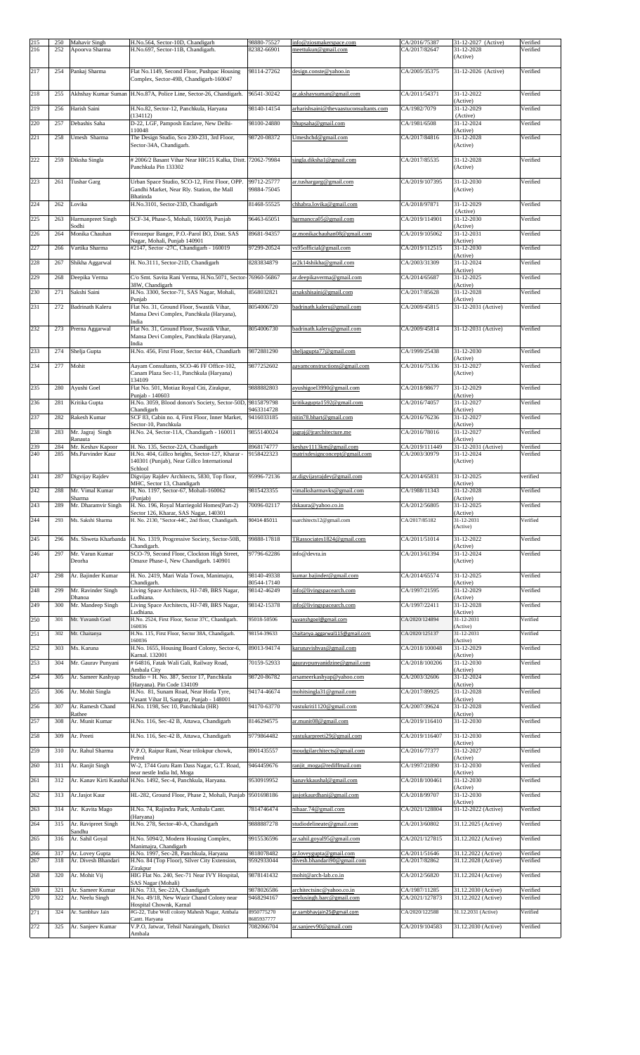| 215 | 250 | Mahavir Singh                | H.No.564, Sector-10D, Chandigarh                                                              | 98880-75527                | info@ziosmakerspace.com                | CA/2016/75387  | 31-12-2027 (Active)             | Verified |
|-----|-----|------------------------------|-----------------------------------------------------------------------------------------------|----------------------------|----------------------------------------|----------------|---------------------------------|----------|
| 216 | 252 | Apoorva Sharma               | H.No.697, Sector-11B, Chandigarh.                                                             | 82382-66901                | meettukun@gmail.com                    | CA/2017/82647  | 31-12-2028<br>(Active)          | Verified |
|     |     |                              |                                                                                               |                            |                                        |                |                                 |          |
| 217 | 254 | Pankaj Sharma                | Flat No.1149, Second Floor, Pushpac Housing<br>Complex, Sector-49B, Chandigarh-160047         | 98114-27262                | design.conste@yahoo.in                 | CA/2005/35375  | 31-12-2026 (Active)             | Verified |
|     |     |                              |                                                                                               | 96541-30242                |                                        |                | 31-12-2022                      |          |
| 218 | 255 |                              | Akhshay Kumar Suman H.No.87A, Police Line, Sector-26, Chandigarh.                             |                            | ar.akshaysuman@gmail.com               | CA/2011/54371  | (Active)                        | Verified |
| 219 | 256 | Harish Saini                 | H.No.82, Sector-12, Panchkula, Haryana<br>(134112)                                            | 98140-14154                | arharishsaini@thevaastuconsultants.com | CA/1982/7079   | 31-12-2029<br>(Active)          | Verified |
| 220 | 257 | Debashis Saha                | D-22, LGF, Pamposh Enclave, New Delhi-                                                        | 98100-24880                | bhupsaha@gmail.com                     | CA/1981/6508   | 31-12-2024                      | Verified |
| 221 | 258 | Umesh Sharma                 | 110048<br>The Design Studio, Sco 230-231, 3rd Floor,                                          | 98720-08372                | Umeshchd@gmail.com                     | CA/2017/84816  | (Active)<br>31-12-2028          | Verified |
|     |     |                              | Sector-34A, Chandigarh.                                                                       |                            |                                        |                | (Active)                        |          |
| 222 | 259 | Diksha Singla                | # 2006/2 Basant Vihar Near HIG15 Kalka, Distt. 72062-79984                                    |                            | singla.diksha1@gmail.com               | CA/2017/85535  | 31-12-2028                      | Verified |
|     |     |                              | Panchkula Pin 133302                                                                          |                            |                                        |                | (Active)                        |          |
| 223 | 261 | <b>Tushar Garg</b>           | Urban Space Studio, SCO-12, First Floor, OPP.<br>Gandhi Market, Near Rly. Station, the Mall   | 99712-25777<br>99884-75045 | ar.tushargarg@gmail.com                | CA/2019/107395 | 31-12-2030<br>(Active)          | Verified |
|     |     |                              | Bhatinda                                                                                      |                            |                                        |                |                                 |          |
| 224 | 262 | Lovika                       | H.No.3101, Sector-23D, Chandigarh                                                             | 81468-55525                | chhabra.lovika@gmail.com               | CA/2018/97871  | 31-12-2029<br>(Active)          | Verified |
| 225 | 263 | Harmanpreet Singh<br>Sodhi   | SCF-34, Phase-5, Mohali, 160059, Punjab                                                       | 96463-65051                | harmancca05@gmail.com                  | CA/2019/114901 | 31-12-2030<br>(Active)          | Verified |
| 226 | 264 | Monika Chauhan               | Ferozepur Banger, P.O.-Parol BO, Distt. SAS                                                   | 89681-94357                | ar.monikachauhan08@gmail.com           | CA/2019/105062 | 31-12-2031                      | Verified |
| 227 | 266 | Vartika Sharma               | Nagar, Mohali, Punjab 140901<br>#2147, Sector -27C, Chandigarh - 160019                       | 97299-20524                | vs95official@gmail.com                 | CA/2019/112515 | (Active)<br>31-12-2030          | Verified |
| 228 | 267 | Shikha Aggarwal              | H. No.3111, Sector-21D, Chandigarh                                                            | 8283834879                 | ar2k14shikha@gmail.com                 | CA/2003/31309  | (Active)<br>31-12-2024          | Verified |
|     |     |                              |                                                                                               |                            |                                        |                | (Active)                        |          |
| 229 | 268 | Deepika Verma                | C/o Smt. Savita Rani Verma, H.No.5071, Sector-76960-56867<br>38W, Chandigarh                  |                            | ar.deepikaverma@gmail.com              | CA/2014/65687  | 31-12-2025<br>(Active)          | Verified |
| 230 | 271 | Sakshi Saini                 | H.No. 3300, Sector-71, SAS Nagar, Mohali,<br>Punjab                                           | 8568032821                 | arsakshisaini@gmail.com                | CA/2017/85628  | 31-12-2028<br>(Active)          | Verified |
| 231 | 272 | Badrinath Kaleru             | Flat No. 31, Ground Floor, Swastik Vihar,                                                     | 8054006720                 | badrinath.kaleru@gmail.com             | CA/2009/45815  | 31-12-2031 (Active)             | Verified |
|     |     |                              | Mansa Devi Complex, Panchkula (Haryana),<br>India                                             |                            |                                        |                |                                 |          |
| 232 | 273 | Prerna Aggarwal              | Flat No. 31, Ground Floor, Swastik Vihar,<br>Mansa Devi Complex, Panchkula (Haryana),         | 8054006730                 | badrinath.kaleru@gmail.com             | CA/2009/45814  | 31-12-2031 (Active)             | Verified |
| 233 |     |                              | India                                                                                         | 9872881290                 |                                        |                | 31-12-2030                      | Verified |
|     | 274 | Shelja Gupta                 | H.No. 456, First Floor, Sector 44A, Chandiarh                                                 |                            | sheljagupta77@gmail.com                | CA/1999/25438  | (Active)                        |          |
| 234 | 277 | Mohit                        | Aayam Consultants, SCO-46 FF Office-102,<br>Canam Plaza Sec-11, Panchkula (Haryana)           | 9877252602                 | aayamconstructions@gmail.com           | CA/2016/75336  | 31-12-2027<br>(Active)          | Verified |
| 235 | 280 | Ayushi Goel                  | 134109<br>Flat No. 501, Motiaz Royal Citi, Zirakpur,                                          | 9888882803                 | ayushigoel3990@gmail.com               | CA/2018/98677  | 31-12-2029                      | Verified |
|     |     |                              | Punjab - 140603                                                                               |                            |                                        |                | (Active)                        |          |
| 236 | 281 | Kritika Gupta                | H.No. 3059, Blood donon's Society, Sector-50D, 9815879798<br>Chandigarh                       | 9463314728                 | kritikagupta1592@gmail.com             | CA/2016/74057  | 31-12-2027<br>(Active)          | Verified |
| 237 | 282 | Rakesh Kumar                 | SCF 83, Cabin no. 4, First Floor, Inner Market,<br>Sector-10, Panchkula                       | 9416033185                 | nitin78.bhart@gmail.com                | CA/2016/76236  | 31-12-2027<br>(Active)          | Verified |
| 238 | 283 | Mr. Jagraj Singh             | H.No. 24, Sector-11A, Chandigarh - 160011                                                     | 9855140024                 | jagraj@jrarchitecture.me               | CA/2016/78016  | 31-12-2027                      | Verified |
| 239 | 284 | Ranauta<br>Mr. Keshav Kapoor | H. No. 135, Sector-22A, Chandigarh                                                            | 8968174777                 | keshav1113km@gmail.com                 | CA/2019/111449 | (Active)<br>31-12-2031 (Active) | Verified |
| 240 | 285 | Ms.Parvinder Kaur            | H.No. 404, Gillco heights, Sector-127, Kharar -<br>140301 (Punjab), Near Gillco International | 9158422323                 | matrixdesignconcept@gmail.com          | CA/2003/30979  | 31-12-2024<br>(Active)          | Verified |
|     |     |                              | Schlool                                                                                       |                            |                                        |                |                                 |          |
| 241 | 287 | Digvijay Rajdev              | Digvijay Rajdev Architects, 5830, Top floor,<br>MHC, Sector 13, Chandigarh                    | 95996-72136                | ar.digvijayrajdev@gmail.com            | CA/2014/65831  | 31-12-2025<br>(Active)          | verified |
| 242 | 288 | Mr. Vimal Kumar<br>Sharma    | H, No. 1197, Sector-67, Mohali-160062<br>(Punjab)                                             | 9815423355                 | vimalksharmavks@gmail.com              | CA/1988/11343  | 31-12-2028<br>(Active)          | Verified |
| 243 | 289 | Mr. Dharamvir Singh          | H. No. 196, Royal Marriegold Homes(Part-2)                                                    | 70096-02117                | dskaura@yahoo.co.in                    | CA/2012/56805  | 31-12-2025                      | Verified |
| 244 | 293 | Ms. Sakshi Sharma            | Sector 126, Kharar, SAS Nagar, 140301<br>H. No. 2130, "Sector-44C, 2nd floor, Chandigarh.     | 90414-85011                | ssarchitects12@gmail.com               | CA/2017/85182  | (Active)<br>31-12-2031          | Verified |
|     |     |                              |                                                                                               |                            |                                        |                | (Active)                        |          |
| 245 | 296 |                              | Ms. Shweta Kharbanda H. No. 1319, Progressive Society, Sector-50B,<br>Chandigarh.             | 99888-17818                | TRassociates1824@gmail.com             | CA/2011/51014  | 31-12-2022<br>(Active)          | Verified |
| 246 | 297 | Mr. Varun Kumar<br>Deorha    | SCO-79, Second Floor, Clockton High Street,<br>Omaxe Phase-I, New Chandigarh. 140901          | 97796-62286                | info@devra.in                          | CA/2013/61394  | $31 - 12 - 2024$<br>(Active)    | Verified |
|     |     |                              |                                                                                               |                            |                                        |                |                                 |          |
| 247 | 298 | Ar. Bajinder Kumar           | H. No. 2419, Mari Wala Town, Manimajra,<br>Chandigarh.                                        | 98140-49338<br>80544-17140 | kumar.bajinder@gmail.com               | CA/2014/65574  | 31-12-2025<br>(Active)          | Verified |
| 248 | 299 | Mr. Ravinder Singh<br>Dhanoa | Living Space Architects, HJ-749, BRS Nagar,<br>Ludhiana.                                      | 98142-46249                | info@livingspacearch.com               | CA/1997/21595  | 31-12-2029<br>(Active)          | Verified |
| 249 | 300 | Mr. Mandeep Singh            | Living Space Architects, HJ-749, BRS Nagar,                                                   | 98142-15378                | info@livingspacearch.com               | CA/1997/22411  | 31-12-2028                      | Verified |
| 250 | 301 | Mr. Yuvansh Goel             | Ludhiana.<br>H.No. 2524, First Floor, Sector 37C, Chandigarh.                                 | 95018-50506                | yuvanshgoel@gmail.com                  | CA/2020/124894 | (Active)<br>31-12-2031          | Verified |
| 251 | 302 | Mr. Chaitanya                | 160036<br>H.No. 115, First Floor, Sector 38A, Chandigarh.                                     | 98154-39633                | chaitanya.aggarwal115@gmail.com        | CA/2020/125137 | (Active)<br>31-12-2031          | Verified |
| 252 |     |                              | 160036                                                                                        |                            |                                        |                | (Active)<br>31-12-2029          |          |
|     | 303 | Ms. Karuna                   | H.No. 1655, Housing Board Colony, Sector-6,<br>Karnal. 132001                                 | 89013-94174                | karunavishvas@gmail.com                | CA/2018/100048 | (Active)                        | Verified |
| 253 | 304 | Mr. Gaurav Punyani           | # 64816, Fatak Wali Gali, Railway Road,<br>Ambala City                                        | 70159-52933                | gauravpunyanidzine@gmail.com           | CA/2018/100206 | 31-12-2030<br>(Active)          | Verified |
| 254 | 305 | Ar. Sameer Kashyap           | Studio = H. No. 387, Sector 17, Panchkula                                                     | 98720-86782                | arsameerkashyap@yahoo.com              | CA/2003/32606  | 31-12-2024                      | Verified |
| 255 | 306 | Ar. Mohit Singla             | (Haryana). Pin Code 134109<br>H.No. 81, Sunam Road, Near Hotla Tyre,                          | 94174-46674                | mohitsingla31@gmail.com                | CA/2017/89925  | (Active)<br>31-12-2028          | Verified |
| 256 | 307 | Ar. Ramesh Chand             | Vasant Vihar II, Sangrur, Punjab - 148001<br>H.No. 1198, Sec 10, Panchkula (HR)               | 94170-63770                | vastukriti1120@gmail.com               | CA/2007/39624  | (Active)<br>31-12-2028          | Verified |
| 257 | 308 | Rathee<br>Ar. Munit Kumar    | H.No. 116, Sec-42 B, Attawa, Chandigarh                                                       | 8146294575                 | ar.munit08@gmail.com                   | CA/2019/116410 | (Active)<br>31-12-2030          | Verified |
|     |     |                              |                                                                                               |                            |                                        |                |                                 |          |
| 258 | 309 | Ar. Preeti                   | H.No. 116, Sec-42 B, Attawa, Chandigarh                                                       | 9779864482                 | vastukarpreeti29@gmail.com             | CA/2019/116407 | 31-12-2030<br>(Active)          | Verified |
| 259 | 310 | Ar. Rahul Sharma             | V.P.O, Raipur Rani, Near trilokpur chowk,                                                     | 8901435557                 | moudgilarchitects@gmail.com            | CA/2016/77377  | 31-12-2027                      | Verified |
| 260 | 311 | Ar. Ranjit Singh             | Petrol<br>W-2, 1744 Guru Ram Dass Nagar, G.T. Road,                                           | 9464459676                 | ranjit moga@rediffmail.com             | CA/1997/21890  | (Active)<br>31-12-2030          | Verified |
| 261 | 312 |                              | near nestle India ltd, Moga<br>Ar. Kanav Kirti Kaushal H.No. 1492, Sec-4, Panchkula, Haryana. | 9530919952                 | kanavkkaushal@gmail.com                | CA/2018/100461 | (Active)<br>31-12-2030          | Verified |
| 262 | 313 | Ar.Jasjot Kaur               | HL-282, Ground Floor, Phase 2, Mohali, Punjab 9501698186                                      |                            | jasjotkaurdhani@gmail.com              | CA/2018/99707  | (Active)<br>31-12-2030          | Verified |
|     |     |                              |                                                                                               |                            |                                        |                | (Active)                        |          |
| 263 | 314 | Ar. Kavita Mago              | H.No. 74, Rajindra Park, Ambala Cantt.<br>(Haryana)                                           | 7814746474                 | nihaar.74@gmail.com                    | CA/2021/128804 | 31-12-2022 (Active)             | Verified |
| 264 | 315 | Ar. Ravipreet Singh          | H.No. 278, Sector-40-A, Chandigarh                                                            | 9888887278                 | studiodelineate@gmail.com              | CA/2013/60802  | 31.12.2025 (Active)             | Verified |
| 265 | 316 | Sandhu<br>Ar. Sahil Goyal    | H.No. 5094/2, Modern Housing Complex,                                                         | 9915536596                 | ar.sahil.goyal95@gmail.com             | CA/2021/127815 | 31.12.2022 (Active)             | Verified |
| 266 | 317 | Ar. Lovey Gupta              | Manimajra, Chandigarh<br>H.No. 1997, Sec-28, Panchkula, Haryana                               | 9818078482                 | ar.loveygupta@gmail.com                | CA/2011/51646  | 31.12.2022 (Active)             | Verified |
| 267 | 318 | Ar. Divesh Bhandari          | H.No. 84 (Top Floor), Silver City Extension,<br>Zirakpur                                      | 9592933044                 | divesh.bhandari90@gmail.com            | CA/2017/82862  | 31.12.2028 (Active)             | Verified |
| 268 | 320 | Ar. Mohit Vij                | HIG Flat No. 240, Sec-71 Near IVY Hospital,                                                   | 9878141432                 | mohit@arch-lab.co.in                   | CA/2012/56820  | 31.12.2024 (Active)             | Verified |
| 269 | 321 | Ar. Sameer Kumar             | SAS Nagar (Mohali)<br>H.No. 733, Sec-22A, Chandigarh                                          | 9878026586                 | architectsinc@yahoo.co.in              | CA/1987/11285  | 31.12.2030 (Active)             | Verified |
| 270 | 322 | Ar. Neelu Singh              | H.No. 49/18, New Wazir Chand Colony near<br>Hospital Chownk, Karnal                           | 9468294167                 | neelusingh.barc@gmail.com              | CA/2021/127873 | 31.12.2022 (Active)             | Verified |
| 271 | 324 | Ar. Sambhav Jain             | #G-22, Tube Well colony Mahesh Nagar, Ambala                                                  | 8950775270                 | ar.sambhavjain25@gmail.com             | CA/2020/122588 | 31.12.2031 (Active)             | Verified |
| 272 | 325 | Ar. Sanjeev Kumar            | Cantt. Haryana<br>V.P.O, Jatwar, Tehsil Naraingarh, District                                  | 8685937777<br>7082066704   | ar.sanjeev90@gmail.com                 | CA/2019/104583 | 31.12.2030 (Active)             | Verified |
|     |     |                              | Ambala                                                                                        |                            |                                        |                |                                 |          |